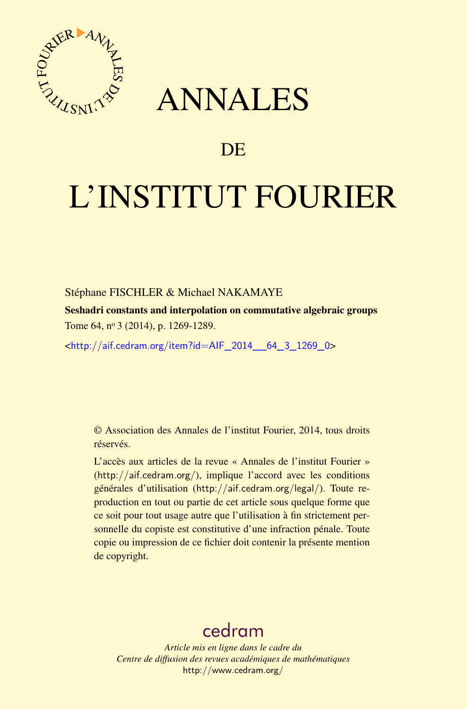

## ANNALES

## **DE**

# L'INSTITUT FOURIER

#### Stéphane FISCHLER & Michael NAKAMAYE

Seshadri constants and interpolation on commutative algebraic groups Tome 64, nº 3 (2014), p. 1269-1289.

<[http://aif.cedram.org/item?id=AIF\\_2014\\_\\_64\\_3\\_1269\\_0](http://aif.cedram.org/item?id=AIF_2014__64_3_1269_0)>

© Association des Annales de l'institut Fourier, 2014, tous droits réservés.

L'accès aux articles de la revue « Annales de l'institut Fourier » (<http://aif.cedram.org/>), implique l'accord avec les conditions générales d'utilisation (<http://aif.cedram.org/legal/>). Toute reproduction en tout ou partie de cet article sous quelque forme que ce soit pour tout usage autre que l'utilisation à fin strictement personnelle du copiste est constitutive d'une infraction pénale. Toute copie ou impression de ce fichier doit contenir la présente mention de copyright.

## [cedram](http://www.cedram.org/)

*Article mis en ligne dans le cadre du Centre de diffusion des revues académiques de mathématiques* <http://www.cedram.org/>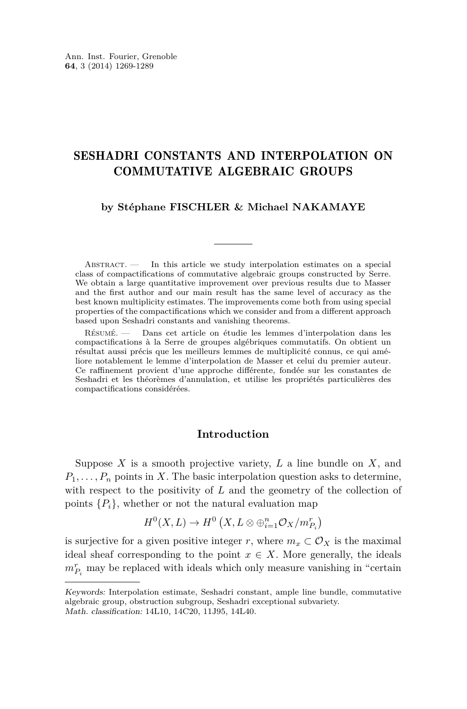### SESHADRI CONSTANTS AND INTERPOLATION ON COMMUTATIVE ALGEBRAIC GROUPS

#### **by Stéphane FISCHLER & Michael NAKAMAYE**

ABSTRACT. — In this article we study interpolation estimates on a special class of compactifications of commutative algebraic groups constructed by Serre. We obtain a large quantitative improvement over previous results due to Masser and the first author and our main result has the same level of accuracy as the best known multiplicity estimates. The improvements come both from using special properties of the compactifications which we consider and from a different approach based upon Seshadri constants and vanishing theorems.

Résumé. — Dans cet article on étudie les lemmes d'interpolation dans les compactifications à la Serre de groupes algébriques commutatifs. On obtient un résultat aussi précis que les meilleurs lemmes de multiplicité connus, ce qui améliore notablement le lemme d'interpolation de Masser et celui du premier auteur. Ce raffinement provient d'une approche différente, fondée sur les constantes de Seshadri et les théorèmes d'annulation, et utilise les propriétés particulières des compactifications considérées.

#### **Introduction**

Suppose *X* is a smooth projective variety, *L* a line bundle on *X*, and  $P_1, \ldots, P_n$  points in *X*. The basic interpolation question asks to determine, with respect to the positivity of *L* and the geometry of the collection of points  $\{P_i\}$ , whether or not the natural evaluation map

$$
H^0(X, L) \to H^0(X, L \otimes \bigoplus_{i=1}^n \mathcal{O}_X/m_{P_i}^r)
$$

is surjective for a given positive integer *r*, where  $m_x \,\subset \mathcal{O}_X$  is the maximal ideal sheaf corresponding to the point  $x \in X$ . More generally, the ideals  $m_{P_i}^r$  may be replaced with ideals which only measure vanishing in "certain

Keywords: Interpolation estimate, Seshadri constant, ample line bundle, commutative algebraic group, obstruction subgroup, Seshadri exceptional subvariety. Math. classification: 14L10, 14C20, 11J95, 14L40.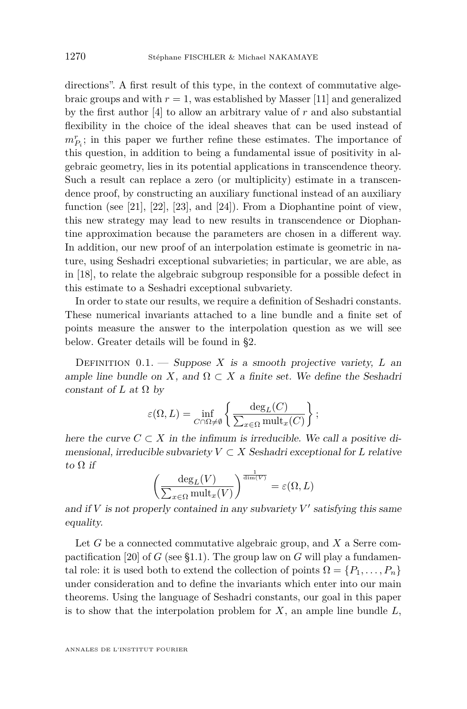<span id="page-2-0"></span>directions". A first result of this type, in the context of commutative algebraic groups and with  $r = 1$ , was established by Masser [\[11\]](#page-20-0) and generalized by the first author [\[4\]](#page-20-0) to allow an arbitrary value of *r* and also substantial flexibility in the choice of the ideal sheaves that can be used instead of  $m_{P_i}^r$ ; in this paper we further refine these estimates. The importance of this question, in addition to being a fundamental issue of positivity in algebraic geometry, lies in its potential applications in transcendence theory. Such a result can replace a zero (or multiplicity) estimate in a transcendence proof, by constructing an auxiliary functional instead of an auxiliary function (see [\[21\]](#page-21-0), [\[22\]](#page-21-0), [\[23\]](#page-21-0), and [\[24\]](#page-21-0)). From a Diophantine point of view, this new strategy may lead to new results in transcendence or Diophantine approximation because the parameters are chosen in a different way. In addition, our new proof of an interpolation estimate is geometric in nature, using Seshadri exceptional subvarieties; in particular, we are able, as in [\[18\]](#page-21-0), to relate the algebraic subgroup responsible for a possible defect in this estimate to a Seshadri exceptional subvariety.

In order to state our results, we require a definition of Seshadri constants. These numerical invariants attached to a line bundle and a finite set of points measure the answer to the interpolation question as we will see below. Greater details will be found in [§2.](#page-11-0)

DEFINITION  $0.1$ . — Suppose X is a smooth projective variety, L an ample line bundle on *X*, and  $\Omega \subset X$  a finite set. We define the Seshadri constant of *L* at  $\Omega$  by

$$
\varepsilon(\Omega,L)=\inf_{C\cap \Omega\neq \emptyset}\left\{\frac{\deg_L(C)}{\sum_{x\in \Omega}\operatorname{mult}_x(C)}\right\};
$$

here the curve  $C \subset X$  in the infimum is irreducible. We call a positive dimensional, irreducible subvariety  $V \subset X$  Seshadri exceptional for *L* relative to  $\Omega$  if

$$
\left(\frac{\deg_L(V)}{\sum_{x \in \Omega} \text{mult}_x(V)}\right)^{\frac{1}{\dim(V)}} = \varepsilon(\Omega, L)
$$

and if  $V$  is not properly contained in any subvariety  $V'$  satisfying this same equality.

Let *G* be a connected commutative algebraic group, and *X* a Serre com-pactification [\[20\]](#page-21-0) of  $G$  (see [§1.1\)](#page-6-0). The group law on  $G$  will play a fundamental role: it is used both to extend the collection of points  $\Omega = \{P_1, \ldots, P_n\}$ under consideration and to define the invariants which enter into our main theorems. Using the language of Seshadri constants, our goal in this paper is to show that the interpolation problem for *X*, an ample line bundle *L*,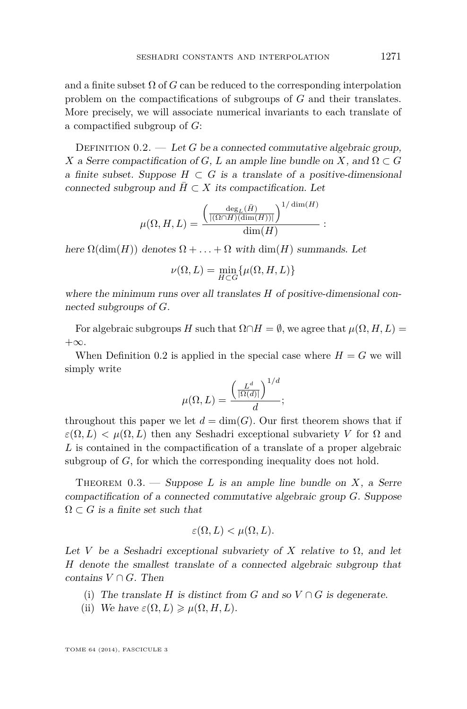<span id="page-3-0"></span>and a finite subset  $\Omega$  of *G* can be reduced to the corresponding interpolation problem on the compactifications of subgroups of *G* and their translates. More precisely, we will associate numerical invariants to each translate of a compactified subgroup of *G*:

DEFINITION  $0.2.$  — Let *G* be a connected commutative algebraic group, *X* a Serre compactification of *G*, *L* an ample line bundle on *X*, and  $\Omega \subset G$ a finite subset. Suppose  $H \subset G$  is a translate of a positive-dimensional connected subgroup and  $H \subset X$  its compactification. Let

$$
\mu(\Omega, H, L) = \frac{\left(\frac{\deg_L(\bar{H})}{|(\Omega \cap H)(\dim(H))|}\right)^{1/\dim(H)}}{\dim(H)}:
$$

here  $\Omega(\dim(H))$  denotes  $\Omega + \ldots + \Omega$  with  $\dim(H)$  summands. Let

$$
\nu(\Omega,L)=\min_{H\subset G}\{\mu(\Omega,H,L)\}
$$

where the minimum runs over all translates *H* of positive-dimensional connected subgroups of *G*.

For algebraic subgroups *H* such that  $\Omega \cap H = \emptyset$ , we agree that  $\mu(\Omega, H, L) =$  $+\infty$ .

When Definition 0.2 is applied in the special case where  $H = G$  we will simply write

$$
\mu(\Omega, L) = \frac{\left(\frac{L^d}{|\Omega(d)|}\right)^{1/d}}{d};
$$

throughout this paper we let  $d = \dim(G)$ . Our first theorem shows that if  $\varepsilon(\Omega, L) < \mu(\Omega, L)$  then any Seshadri exceptional subvariety *V* for  $\Omega$  and *L* is contained in the compactification of a translate of a proper algebraic subgroup of *G*, for which the corresponding inequality does not hold.

THEOREM  $0.3.$  — Suppose *L* is an ample line bundle on *X*, a Serre compactification of a connected commutative algebraic group *G*. Suppose  $\Omega \subset G$  is a finite set such that

$$
\varepsilon(\Omega, L) < \mu(\Omega, L).
$$

Let *V* be a Seshadri exceptional subvariety of *X* relative to  $\Omega$ , and let *H* denote the smallest translate of a connected algebraic subgroup that contains  $V \cap G$ . Then

- (i) The translate *H* is distinct from *G* and so  $V \cap G$  is degenerate.
- (ii) We have  $\varepsilon(\Omega, L) \geq \mu(\Omega, H, L)$ .

TOME 64 (2014), FASCICULE 3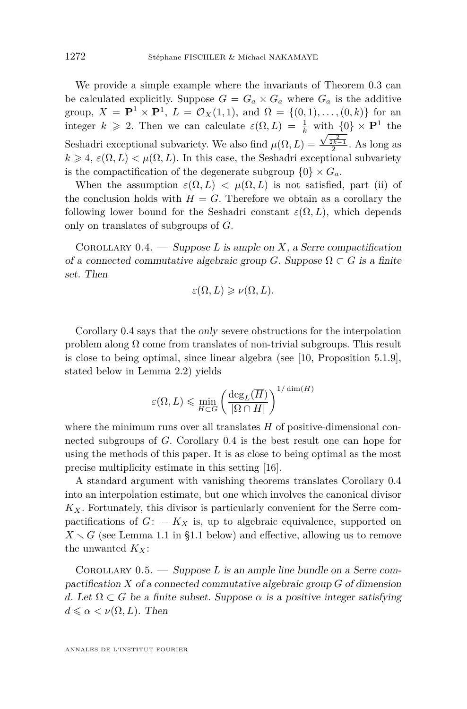<span id="page-4-0"></span>We provide a simple example where the invariants of Theorem [0.3](#page-3-0) can be calculated explicitly. Suppose  $G = G_a \times G_a$  where  $G_a$  is the additive group,  $X = \mathbf{P}^1 \times \mathbf{P}^1$ ,  $L = \mathcal{O}_X(1,1)$ , and  $\Omega = \{(0,1), \ldots, (0,k)\}$  for an integer  $k \ge 2$ . Then we can calculate  $\varepsilon(\Omega, L) = \frac{1}{k}$  with  $\{0\} \times \mathbf{P}^1$  the Seshadri exceptional subvariety. We also find  $\mu(\Omega, L) =$  $\frac{\sqrt{\frac{2}{2k-1}}}{2}$ . As long as  $k \geq 4$ ,  $\varepsilon(\Omega, L) < \mu(\Omega, L)$ . In this case, the Seshadri exceptional subvariety is the compactification of the degenerate subgroup  $\{0\} \times G_a$ .

When the assumption  $\varepsilon(\Omega, L) < \mu(\Omega, L)$  is not satisfied, part (ii) of the conclusion holds with  $H = G$ . Therefore we obtain as a corollary the following lower bound for the Seshadri constant  $\varepsilon(\Omega, L)$ , which depends only on translates of subgroups of *G*.

COROLLARY  $0.4.$  — Suppose *L* is ample on *X*, a Serre compactification of a connected commutative algebraic group *G*. Suppose  $\Omega \subset G$  is a finite set. Then

$$
\varepsilon(\Omega, L) \geqslant \nu(\Omega, L).
$$

Corollary 0.4 says that the only severe obstructions for the interpolation problem along  $\Omega$  come from translates of non-trivial subgroups. This result is close to being optimal, since linear algebra (see [\[10,](#page-20-0) Proposition 5.1.9], stated below in Lemma [2.2\)](#page-12-0) yields

$$
\varepsilon(\Omega, L) \leqslant \min_{H \subset G} \left( \frac{\deg_L(\overline{H})}{|\Omega \cap H|} \right)^{1/\dim(H)}
$$

where the minimum runs over all translates *H* of positive-dimensional connected subgroups of *G*. Corollary 0.4 is the best result one can hope for using the methods of this paper. It is as close to being optimal as the most precise multiplicity estimate in this setting [\[16\]](#page-21-0).

A standard argument with vanishing theorems translates Corollary 0.4 into an interpolation estimate, but one which involves the canonical divisor  $K_X$ . Fortunately, this divisor is particularly convenient for the Serre compactifications of  $G: -K_X$  is, up to algebraic equivalence, supported on  $X \setminus G$  (see Lemma [1.1](#page-7-0) in [§1.1](#page-6-0) below) and effective, allowing us to remove the unwanted  $K_X$ :

Corollary 0.5. — Suppose *L* is an ample line bundle on a Serre compactification *X* of a connected commutative algebraic group *G* of dimension *d*. Let  $\Omega \subset G$  be a finite subset. Suppose  $\alpha$  is a positive integer satisfying  $d \leq \alpha < \nu(\Omega, L)$ . Then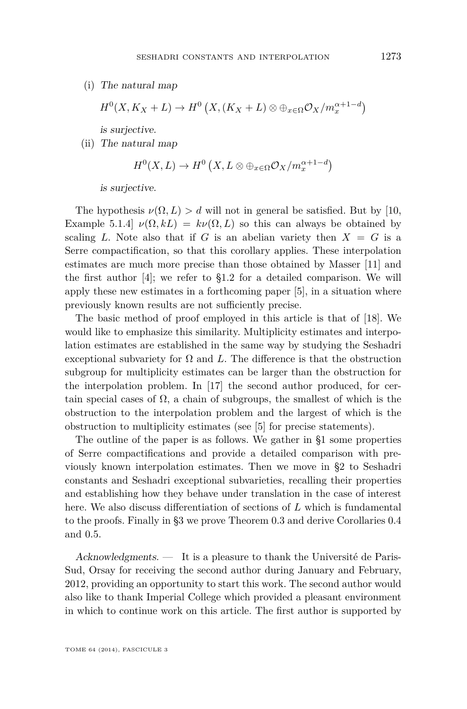(i) The natural map

$$
H^{0}(X, K_X + L) \to H^{0}(X, (K_X + L) \otimes \oplus_{x \in \Omega} \mathcal{O}_X/m_x^{\alpha+1-d})
$$

is surjective.

(ii) The natural map

$$
H^{0}(X, L) \to H^{0}(X, L \otimes \oplus_{x \in \Omega} \mathcal{O}_{X}/m_{x}^{\alpha+1-d})
$$

is surjective.

The hypothesis  $\nu(\Omega, L) > d$  will not in general be satisfied. But by [\[10,](#page-20-0) Example 5.1.4]  $\nu(\Omega, kL) = k\nu(\Omega, L)$  so this can always be obtained by scaling *L*. Note also that if *G* is an abelian variety then  $X = G$  is a Serre compactification, so that this corollary applies. These interpolation estimates are much more precise than those obtained by Masser [\[11\]](#page-20-0) and the first author [\[4\]](#page-20-0); we refer to [§1.2](#page-7-0) for a detailed comparison. We will apply these new estimates in a forthcoming paper [\[5\]](#page-20-0), in a situation where previously known results are not sufficiently precise.

The basic method of proof employed in this article is that of [\[18\]](#page-21-0). We would like to emphasize this similarity. Multiplicity estimates and interpolation estimates are established in the same way by studying the Seshadri exceptional subvariety for  $\Omega$  and  $L$ . The difference is that the obstruction subgroup for multiplicity estimates can be larger than the obstruction for the interpolation problem. In [\[17\]](#page-21-0) the second author produced, for certain special cases of  $\Omega$ , a chain of subgroups, the smallest of which is the obstruction to the interpolation problem and the largest of which is the obstruction to multiplicity estimates (see [\[5\]](#page-20-0) for precise statements).

The outline of the paper is as follows. We gather in [§1](#page-6-0) some properties of Serre compactifications and provide a detailed comparison with previously known interpolation estimates. Then we move in [§2](#page-11-0) to Seshadri constants and Seshadri exceptional subvarieties, recalling their properties and establishing how they behave under translation in the case of interest here. We also discuss differentiation of sections of *L* which is fundamental to the proofs. Finally in [§3](#page-16-0) we prove Theorem [0.3](#page-3-0) and derive Corollaries [0.4](#page-4-0) and [0.5.](#page-4-0)

Acknowledgments. — It is a pleasure to thank the Université de Paris-Sud, Orsay for receiving the second author during January and February, 2012, providing an opportunity to start this work. The second author would also like to thank Imperial College which provided a pleasant environment in which to continue work on this article. The first author is supported by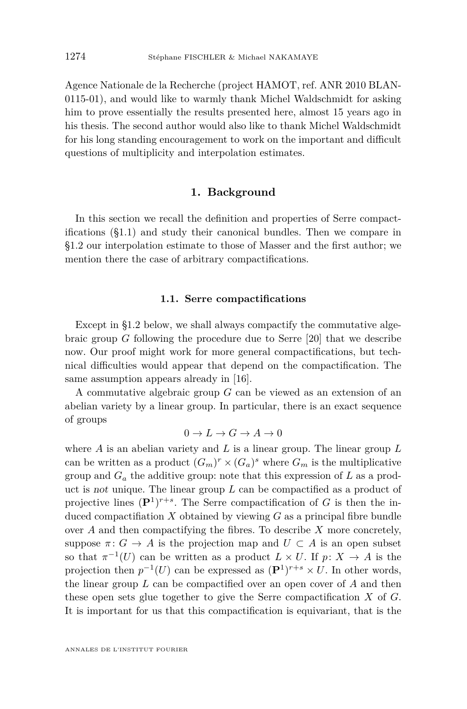<span id="page-6-0"></span>Agence Nationale de la Recherche (project HAMOT, ref. ANR 2010 BLAN-0115-01), and would like to warmly thank Michel Waldschmidt for asking him to prove essentially the results presented here, almost 15 years ago in his thesis. The second author would also like to thank Michel Waldschmidt for his long standing encouragement to work on the important and difficult questions of multiplicity and interpolation estimates.

#### **1. Background**

In this section we recall the definition and properties of Serre compactifications (§1.1) and study their canonical bundles. Then we compare in [§1.2](#page-7-0) our interpolation estimate to those of Masser and the first author; we mention there the case of arbitrary compactifications.

#### **1.1. Serre compactifications**

Except in [§1.2](#page-7-0) below, we shall always compactify the commutative algebraic group *G* following the procedure due to Serre [\[20\]](#page-21-0) that we describe now. Our proof might work for more general compactifications, but technical difficulties would appear that depend on the compactification. The same assumption appears already in [\[16\]](#page-21-0).

A commutative algebraic group *G* can be viewed as an extension of an abelian variety by a linear group. In particular, there is an exact sequence of groups

$$
0 \to L \to G \to A \to 0
$$

where *A* is an abelian variety and *L* is a linear group. The linear group *L* can be written as a product  $(G_m)^r \times (G_a)^s$  where  $G_m$  is the multiplicative group and  $G_a$  the additive group: note that this expression of  $L$  as a product is not unique. The linear group *L* can be compactified as a product of projective lines  $(\mathbf{P}^1)^{r+s}$ . The Serre compactification of *G* is then the induced compactifiation *X* obtained by viewing *G* as a principal fibre bundle over *A* and then compactifying the fibres. To describe *X* more concretely, suppose  $\pi: G \to A$  is the projection map and  $U \subset A$  is an open subset so that  $\pi^{-1}(U)$  can be written as a product  $L \times U$ . If  $p: X \to A$  is the projection then  $p^{-1}(U)$  can be expressed as  $(\mathbf{P}^1)^{r+s} \times U$ . In other words, the linear group *L* can be compactified over an open cover of *A* and then these open sets glue together to give the Serre compactification *X* of *G*. It is important for us that this compactification is equivariant, that is the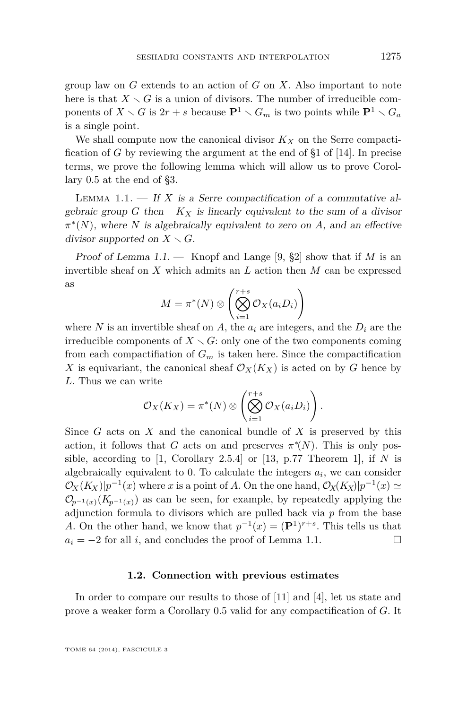<span id="page-7-0"></span>group law on *G* extends to an action of *G* on *X*. Also important to note here is that  $X \setminus G$  is a union of divisors. The number of irreducible components of  $X \setminus G$  is  $2r + s$  because  $\mathbf{P}^1 \setminus G_m$  is two points while  $\mathbf{P}^1 \setminus G_a$ is a single point.

We shall compute now the canonical divisor  $K_X$  on the Serre compactification of *G* by reviewing the argument at the end of §1 of [\[14\]](#page-21-0). In precise terms, we prove the following lemma which will allow us to prove Corollary [0.5](#page-4-0) at the end of [§3.](#page-16-0)

LEMMA 1.1.  $\overline{\phantom{a}}$  If *X* is a Serre compactification of a commutative algebraic group *G* then  $-K_X$  is linearly equivalent to the sum of a divisor *π* ∗ (*N*), where *N* is algebraically equivalent to zero on *A*, and an effective divisor supported on  $X \setminus G$ .

Proof of Lemma 1.1. — Knopf and Lange [\[9,](#page-20-0) §2] show that if *M* is an invertible sheaf on *X* which admits an *L* action then *M* can be expressed as

$$
M = \pi^*(N) \otimes \left( \bigotimes_{i=1}^{r+s} \mathcal{O}_X(a_i D_i) \right)
$$

where N is an invertible sheaf on A, the  $a_i$  are integers, and the  $D_i$  are the irreducible components of  $X \setminus G$ : only one of the two components coming from each compactifiation of  $G_m$  is taken here. Since the compactification X is equivariant, the canonical sheaf  $\mathcal{O}_X(K_X)$  is acted on by *G* hence by *L*. Thus we can write

$$
\mathcal{O}_X(K_X)=\pi^*(N)\otimes \left(\bigotimes_{i=1}^{r+s}\mathcal{O}_X(a_iD_i)\right).
$$

Since *G* acts on *X* and the canonical bundle of *X* is preserved by this action, it follows that *G* acts on and preserves  $\pi^*(N)$ . This is only possible, according to  $[1,$  Corollary 2.5.4] or  $[13, p.77$  $[13, p.77$  Theorem 1], if *N* is algebraically equivalent to 0. To calculate the integers *a<sup>i</sup>* , we can consider  $\mathcal{O}_X(K_X)|p^{-1}(x)$  where *x* is a point of *A*. On the one hand,  $\mathcal{O}_X(K_X)|p^{-1}(x) \simeq$  $\mathcal{O}_{p^{-1}(x)}(K_{p^{-1}(x)})$  as can be seen, for example, by repeatedly applying the adjunction formula to divisors which are pulled back via *p* from the base *A*. On the other hand, we know that  $p^{-1}(x) = (\mathbf{P}^1)^{r+s}$ . This tells us that  $a_i = -2$  for all *i*, and concludes the proof of Lemma 1.1.

#### **1.2. Connection with previous estimates**

In order to compare our results to those of [\[11\]](#page-20-0) and [\[4\]](#page-20-0), let us state and prove a weaker form a Corollary [0.5](#page-4-0) valid for any compactification of *G*. It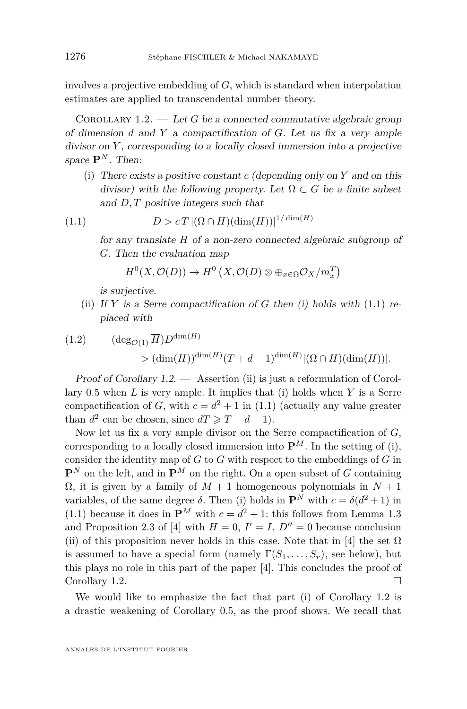<span id="page-8-0"></span>involves a projective embedding of *G*, which is standard when interpolation estimates are applied to transcendental number theory.

COROLLARY  $1.2.$  — Let *G* be a connected commutative algebraic group of dimension *d* and *Y* a compactification of *G*. Let us fix a very ample divisor on *Y* , corresponding to a locally closed immersion into a projective space  $\mathbf{P}^N$ . Then:

(i) There exists a positive constant *c* (depending only on *Y* and on this divisor) with the following property. Let  $\Omega \subset G$  be a finite subset and *D, T* positive integers such that

$$
(1.1) \tD > cT \left| (\Omega \cap H)(\dim(H)) \right|^{1/\dim(H)}
$$

for any translate *H* of a non-zero connected algebraic subgroup of *G*. Then the evaluation map

$$
H^0(X, \mathcal{O}(D)) \to H^0(X, \mathcal{O}(D) \otimes \oplus_{x \in \Omega} \mathcal{O}_X/m_x^T)
$$

is surjective.

(ii) If  $Y$  is a Serre compactification of  $G$  then (i) holds with  $(1.1)$  replaced with

(1.2) 
$$
(\deg_{\mathcal{O}(1)} \overline{H}) D^{\dim(H)}
$$

$$
> (\dim(H))^{\dim(H)} (T + d - 1)^{\dim(H)} |(\Omega \cap H)(\dim(H))|.
$$

Proof of Corollary 1.2. — Assertion (ii) is just a reformulation of Corollary [0.5](#page-4-0) when *L* is very ample. It implies that (i) holds when *Y* is a Serre compactification of *G*, with  $c = d^2 + 1$  in (1.1) (actually any value greater than  $d^2$  can be chosen, since  $dT \geq T + d - 1$ .

Now let us fix a very ample divisor on the Serre compactification of *G*, corresponding to a locally closed immersion into  $\mathbf{P}^{M}$ . In the setting of (i), consider the identity map of *G* to *G* with respect to the embeddings of *G* in  $\mathbf{P}^{N}$  on the left, and in  $\mathbf{P}^{M}$  on the right. On a open subset of *G* containing  $Ω$ , it is given by a family of  $M + 1$  homogeneous polynomials in  $N + 1$ variables, of the same degree  $\delta$ . Then (i) holds in  $\mathbf{P}^N$  with  $c = \delta(d^2 + 1)$  in  $(1.1)$  because it does in  $\mathbf{P}^M$  with  $c = d^2 + 1$ : this follows from Lemma 1.3 and Proposition 2.3 of [\[4\]](#page-20-0) with  $H = 0$ ,  $I' = I$ ,  $D'' = 0$  because conclusion (ii) of this proposition never holds in this case. Note that in [\[4\]](#page-20-0) the set  $\Omega$ is assumed to have a special form (namely  $\Gamma(S_1, \ldots, S_r)$ , see below), but this plays no role in this part of the paper [\[4\]](#page-20-0). This concludes the proof of Corollary 1.2. □

We would like to emphasize the fact that part (i) of Corollary 1.2 is a drastic weakening of Corollary [0.5,](#page-4-0) as the proof shows. We recall that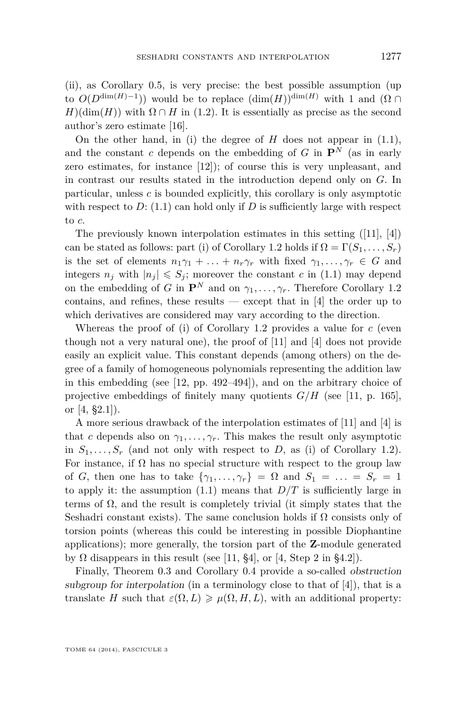(ii), as Corollary [0.5,](#page-4-0) is very precise: the best possible assumption (up to  $O(D^{\dim(H)-1})$  would be to replace  $(\dim(H))^{\dim(H)}$  with 1 and  $(\Omega \cap$  $H$ )(dim(*H*)) with  $\Omega \cap H$  in [\(1.2\)](#page-8-0). It is essentially as precise as the second author's zero estimate [\[16\]](#page-21-0).

On the other hand, in (i) the degree of *H* does not appear in [\(1.1\)](#page-8-0), and the constant *c* depends on the embedding of  $G$  in  $\mathbf{P}^N$  (as in early zero estimates, for instance [\[12\]](#page-20-0)); of course this is very unpleasant, and in contrast our results stated in the introduction depend only on *G*. In particular, unless *c* is bounded explicitly, this corollary is only asymptotic with respect to  $D: (1.1)$  $D: (1.1)$  can hold only if  $D$  is sufficiently large with respect to *c*.

The previously known interpolation estimates in this setting ([\[11\]](#page-20-0), [\[4\]](#page-20-0)) can be stated as follows: part (i) of Corollary [1.2](#page-8-0) holds if  $\Omega = \Gamma(S_1, \ldots, S_r)$ is the set of elements  $n_1\gamma_1 + \ldots + n_r\gamma_r$  with fixed  $\gamma_1, \ldots, \gamma_r \in G$  and integers  $n_j$  with  $|n_j| \leqslant S_j$ ; moreover the constant *c* in [\(1.1\)](#page-8-0) may depend on the embedding of *G* in  $\mathbf{P}^{N}$  and on  $\gamma_1, \ldots, \gamma_r$ . Therefore Corollary [1.2](#page-8-0) contains, and refines, these results  $-$  except that in [\[4\]](#page-20-0) the order up to which derivatives are considered may vary according to the direction.

Whereas the proof of (i) of Corollary [1.2](#page-8-0) provides a value for *c* (even though not a very natural one), the proof of [\[11\]](#page-20-0) and [\[4\]](#page-20-0) does not provide easily an explicit value. This constant depends (among others) on the degree of a family of homogeneous polynomials representing the addition law in this embedding (see [\[12,](#page-20-0) pp. 492–494]), and on the arbitrary choice of projective embeddings of finitely many quotients  $G/H$  (see [\[11,](#page-20-0) p. 165], or [\[4,](#page-20-0) §2.1]).

A more serious drawback of the interpolation estimates of [\[11\]](#page-20-0) and [\[4\]](#page-20-0) is that *c* depends also on  $\gamma_1, \ldots, \gamma_r$ . This makes the result only asymptotic in  $S_1, \ldots, S_r$  (and not only with respect to *D*, as (i) of Corollary [1.2\)](#page-8-0). For instance, if  $\Omega$  has no special structure with respect to the group law of *G*, then one has to take  $\{\gamma_1, \ldots, \gamma_r\} = \Omega$  and  $S_1 = \ldots = S_r = 1$ to apply it: the assumption  $(1.1)$  means that  $D/T$  is sufficiently large in terms of  $\Omega$ , and the result is completely trivial (it simply states that the Seshadri constant exists). The same conclusion holds if  $\Omega$  consists only of torsion points (whereas this could be interesting in possible Diophantine applications); more generally, the torsion part of the **Z**-module generated by  $\Omega$  disappears in this result (see [\[11,](#page-20-0) §4], or [\[4,](#page-20-0) Step 2 in §4.2]).

Finally, Theorem [0.3](#page-3-0) and Corollary [0.4](#page-4-0) provide a so-called obstruction subgroup for interpolation (in a terminology close to that of  $[4]$ ), that is a translate *H* such that  $\varepsilon(\Omega, L) \geq \mu(\Omega, H, L)$ , with an additional property: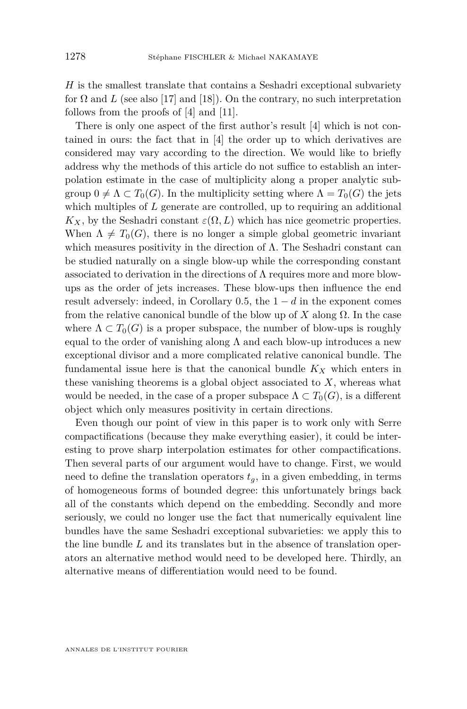*H* is the smallest translate that contains a Seshadri exceptional subvariety for  $\Omega$  and  $L$  (see also [\[17\]](#page-21-0) and [\[18\]](#page-21-0)). On the contrary, no such interpretation follows from the proofs of [\[4\]](#page-20-0) and [\[11\]](#page-20-0).

There is only one aspect of the first author's result [\[4\]](#page-20-0) which is not contained in ours: the fact that in [\[4\]](#page-20-0) the order up to which derivatives are considered may vary according to the direction. We would like to briefly address why the methods of this article do not suffice to establish an interpolation estimate in the case of multiplicity along a proper analytic subgroup  $0 \neq \Lambda \subset T_0(G)$ . In the multiplicity setting where  $\Lambda = T_0(G)$  the jets which multiples of *L* generate are controlled, up to requiring an additional  $K_X$ , by the Seshadri constant  $\varepsilon(\Omega, L)$  which has nice geometric properties. When  $\Lambda \neq T_0(G)$ , there is no longer a simple global geometric invariant which measures positivity in the direction of  $\Lambda$ . The Seshadri constant can be studied naturally on a single blow-up while the corresponding constant associated to derivation in the directions of  $\Lambda$  requires more and more blowups as the order of jets increases. These blow-ups then influence the end result adversely: indeed, in Corollary  $0.5$ , the  $1 - d$  in the exponent comes from the relative canonical bundle of the blow up of  $X$  along  $\Omega$ . In the case where  $\Lambda \subset T_0(G)$  is a proper subspace, the number of blow-ups is roughly equal to the order of vanishing along  $\Lambda$  and each blow-up introduces a new exceptional divisor and a more complicated relative canonical bundle. The fundamental issue here is that the canonical bundle *K<sup>X</sup>* which enters in these vanishing theorems is a global object associated to *X*, whereas what would be needed, in the case of a proper subspace  $\Lambda \subset T_0(G)$ , is a different object which only measures positivity in certain directions.

Even though our point of view in this paper is to work only with Serre compactifications (because they make everything easier), it could be interesting to prove sharp interpolation estimates for other compactifications. Then several parts of our argument would have to change. First, we would need to define the translation operators  $t<sub>g</sub>$ , in a given embedding, in terms of homogeneous forms of bounded degree: this unfortunately brings back all of the constants which depend on the embedding. Secondly and more seriously, we could no longer use the fact that numerically equivalent line bundles have the same Seshadri exceptional subvarieties: we apply this to the line bundle *L* and its translates but in the absence of translation operators an alternative method would need to be developed here. Thirdly, an alternative means of differentiation would need to be found.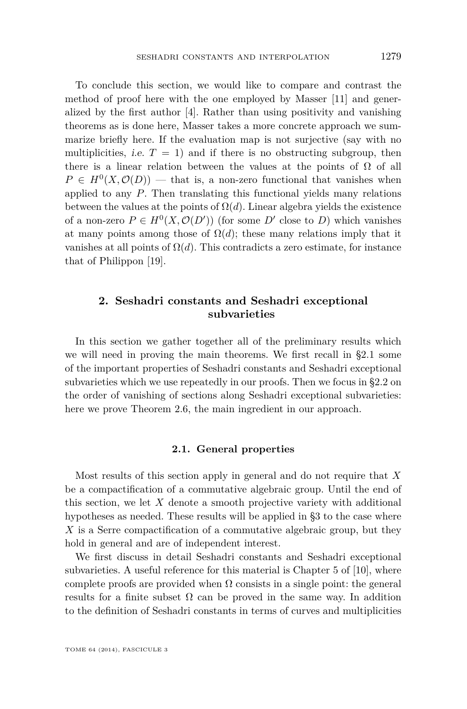<span id="page-11-0"></span>To conclude this section, we would like to compare and contrast the method of proof here with the one employed by Masser [\[11\]](#page-20-0) and generalized by the first author [\[4\]](#page-20-0). Rather than using positivity and vanishing theorems as is done here, Masser takes a more concrete approach we summarize briefly here. If the evaluation map is not surjective (say with no multiplicities, *i.e.*  $T = 1$  and if there is no obstructing subgroup, then there is a linear relation between the values at the points of  $\Omega$  of all  $P \in H^0(X, \mathcal{O}(D))$  — that is, a non-zero functional that vanishes when applied to any *P*. Then translating this functional yields many relations between the values at the points of  $\Omega(d)$ . Linear algebra yields the existence of a non-zero  $P \in H^0(X, \mathcal{O}(D'))$  (for some  $D'$  close to *D*) which vanishes at many points among those of  $\Omega(d)$ ; these many relations imply that it vanishes at all points of  $\Omega(d)$ . This contradicts a zero estimate, for instance that of Philippon [\[19\]](#page-21-0).

#### **2. Seshadri constants and Seshadri exceptional subvarieties**

In this section we gather together all of the preliminary results which we will need in proving the main theorems. We first recall in §2.1 some of the important properties of Seshadri constants and Seshadri exceptional subvarieties which we use repeatedly in our proofs. Then we focus in [§2.2](#page-13-0) on the order of vanishing of sections along Seshadri exceptional subvarieties: here we prove Theorem [2.6,](#page-13-0) the main ingredient in our approach.

#### **2.1. General properties**

Most results of this section apply in general and do not require that *X* be a compactification of a commutative algebraic group. Until the end of this section, we let *X* denote a smooth projective variety with additional hypotheses as needed. These results will be applied in [§3](#page-16-0) to the case where *X* is a Serre compactification of a commutative algebraic group, but they hold in general and are of independent interest.

We first discuss in detail Seshadri constants and Seshadri exceptional subvarieties. A useful reference for this material is Chapter 5 of [\[10\]](#page-20-0), where complete proofs are provided when  $\Omega$  consists in a single point: the general results for a finite subset  $\Omega$  can be proved in the same way. In addition to the definition of Seshadri constants in terms of curves and multiplicities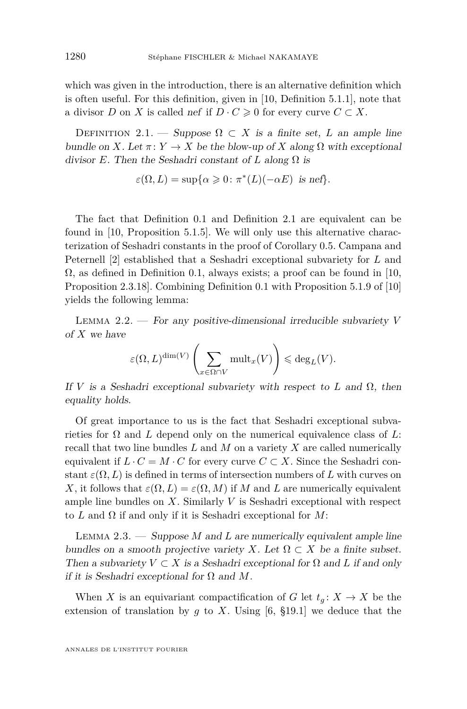<span id="page-12-0"></span>which was given in the introduction, there is an alternative definition which is often useful. For this definition, given in [\[10,](#page-20-0) Definition 5.1.1], note that a divisor *D* on *X* is called nef if  $D \cdot C \geq 0$  for every curve  $C \subset X$ .

DEFINITION 2.1. — Suppose  $\Omega \subset X$  is a finite set, *L* an ample line bundle on *X*. Let  $\pi: Y \to X$  be the blow-up of *X* along  $\Omega$  with exceptional divisor *E*. Then the Seshadri constant of *L* along  $\Omega$  is

$$
\varepsilon(\Omega, L) = \sup \{ \alpha \geq 0 : \pi^*(L)(-\alpha E) \text{ is nef} \}.
$$

The fact that Definition [0.1](#page-2-0) and Definition 2.1 are equivalent can be found in [\[10,](#page-20-0) Proposition 5.1.5]. We will only use this alternative characterization of Seshadri constants in the proof of Corollary [0.5.](#page-4-0) Campana and Peternell [\[2\]](#page-20-0) established that a Seshadri exceptional subvariety for *L* and  $\Omega$ , as defined in Definition [0.1,](#page-2-0) always exists; a proof can be found in [\[10,](#page-20-0) Proposition 2.3.18]. Combining Definition [0.1](#page-2-0) with Proposition 5.1.9 of [\[10\]](#page-20-0) yields the following lemma:

Lemma 2.2. — For any positive-dimensional irreducible subvariety *V* of *X* we have

$$
\varepsilon(\Omega, L)^{\dim(V)} \left( \sum_{x \in \Omega \cap V} \text{mult}_x(V) \right) \leqslant \deg_L(V).
$$

If *V* is a Seshadri exceptional subvariety with respect to *L* and  $\Omega$ , then equality holds.

Of great importance to us is the fact that Seshadri exceptional subvarieties for  $\Omega$  and  $L$  depend only on the numerical equivalence class of  $L$ : recall that two line bundles *L* and *M* on a variety *X* are called numerically equivalent if  $L \cdot C = M \cdot C$  for every curve  $C \subset X$ . Since the Seshadri constant  $\varepsilon(\Omega, L)$  is defined in terms of intersection numbers of L with curves on *X*, it follows that  $\varepsilon(\Omega, L) = \varepsilon(\Omega, M)$  if *M* and *L* are numerically equivalent ample line bundles on *X*. Similarly *V* is Seshadri exceptional with respect to *L* and Ω if and only if it is Seshadri exceptional for *M*:

Lemma 2.3. — Suppose *M* and *L* are numerically equivalent ample line bundles on a smooth projective variety *X*. Let  $\Omega \subset X$  be a finite subset. Then a subvariety  $V \subset X$  is a Seshadri exceptional for  $\Omega$  and  $L$  if and only if it is Seshadri exceptional for Ω and *M*.

When *X* is an equivariant compactification of *G* let  $t_q: X \to X$  be the extension of translation by  $g$  to  $X$ . Using [\[6,](#page-20-0) §19.1] we deduce that the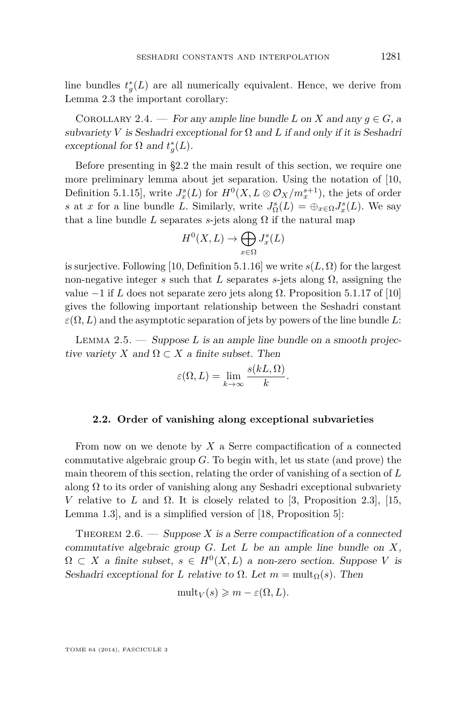<span id="page-13-0"></span>line bundles  $t_g^*(L)$  are all numerically equivalent. Hence, we derive from Lemma [2.3](#page-12-0) the important corollary:

COROLLARY 2.4. — For any ample line bundle *L* on *X* and any  $q \in G$ , a subvariety *V* is Seshadri exceptional for  $\Omega$  and *L* if and only if it is Seshadri exceptional for  $\Omega$  and  $t_g^*(L)$ .

Before presenting in §2.2 the main result of this section, we require one more preliminary lemma about jet separation. Using the notation of [\[10,](#page-20-0) Definition 5.1.15], write  $J_x^s(L)$  for  $H^0(X, L \otimes \mathcal{O}_X/m_x^{s+1})$ , the jets of order *s* at *x* for a line bundle *L*. Similarly, write  $J_{\Omega}^s(L) = \bigoplus_{x \in \Omega} J_x^s(L)$ . We say that a line bundle *L* separates *s*-jets along  $\Omega$  if the natural map

$$
H^0(X, L) \to \bigoplus_{x \in \Omega} J^s_x(L)
$$

is surjective. Following [\[10,](#page-20-0) Definition 5.1.16] we write  $s(L, \Omega)$  for the largest non-negative integer  $s$  such that  $L$  separates  $s$ -jets along  $\Omega$ , assigning the value  $-1$  if *L* does not separate zero jets along Ω. Proposition 5.1.17 of [\[10\]](#page-20-0) gives the following important relationship between the Seshadri constant  $\varepsilon(\Omega, L)$  and the asymptotic separation of jets by powers of the line bundle L:

Lemma 2.5. — Suppose *L* is an ample line bundle on a smooth projective variety *X* and  $\Omega \subset X$  a finite subset. Then

$$
\varepsilon(\Omega, L) = \lim_{k \to \infty} \frac{s(kL, \Omega)}{k}.
$$

#### **2.2. Order of vanishing along exceptional subvarieties**

From now on we denote by *X* a Serre compactification of a connected commutative algebraic group *G*. To begin with, let us state (and prove) the main theorem of this section, relating the order of vanishing of a section of *L* along  $\Omega$  to its order of vanishing along any Seshadri exceptional subvariety *V* relative to *L* and  $\Omega$ . It is closely related to [\[3,](#page-20-0) Proposition 2.3], [\[15,](#page-21-0) Lemma 1.3], and is a simplified version of [\[18,](#page-21-0) Proposition 5]:

THEOREM  $2.6.$  — Suppose X is a Serre compactification of a connected commutative algebraic group *G*. Let *L* be an ample line bundle on *X*,  $\Omega \subset X$  a finite subset,  $s \in H^0(X, L)$  a non-zero section. Suppose *V* is Seshadri exceptional for *L* relative to  $\Omega$ . Let  $m = \text{mult}_{\Omega}(s)$ . Then

$$
\text{mult}_V(s) \geqslant m - \varepsilon(\Omega, L).
$$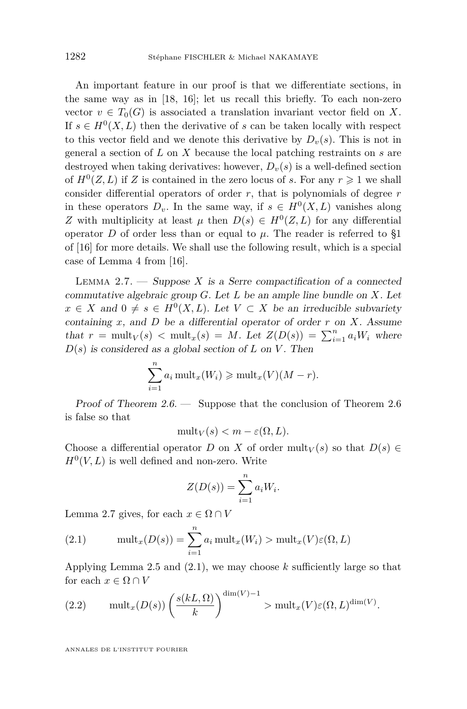<span id="page-14-0"></span>An important feature in our proof is that we differentiate sections, in the same way as in [\[18,](#page-21-0) [16\]](#page-21-0); let us recall this briefly. To each non-zero vector  $v \in T_0(G)$  is associated a translation invariant vector field on X. If  $s \in H^0(X, L)$  then the derivative of *s* can be taken locally with respect to this vector field and we denote this derivative by  $D_v(s)$ . This is not in general a section of *L* on *X* because the local patching restraints on *s* are destroyed when taking derivatives: however,  $D_{\nu}(s)$  is a well-defined section of  $H^0(Z, L)$  if Z is contained in the zero locus of *s*. For any  $r \geq 1$  we shall consider differential operators of order *r*, that is polynomials of degree *r* in these operators  $D_v$ . In the same way, if  $s \in H^0(X, L)$  vanishes along *Z* with multiplicity at least  $\mu$  then  $D(s) \in H^0(Z, L)$  for any differential operator *D* of order less than or equal to  $\mu$ . The reader is referred to §1 of [\[16\]](#page-21-0) for more details. We shall use the following result, which is a special case of Lemma 4 from [\[16\]](#page-21-0).

LEMMA 2.7.  $\longrightarrow$  Suppose *X* is a Serre compactification of a connected commutative algebraic group *G*. Let *L* be an ample line bundle on *X*. Let *x* ∈ *X* and 0  $\neq$  *s* ∈ *H*<sup>0</sup>(*X, L*). Let *V* ⊂ *X* be an irreducible subvariety containing *x*, and *D* be a differential operator of order *r* on *X*. Assume that  $r = \text{mult}_V(s) < \text{mult}_x(s) = M$ . Let  $Z(D(s)) = \sum_{i=1}^n a_i W_i$  where  $D(s)$  is considered as a global section of *L* on *V*. Then

$$
\sum_{i=1}^{n} a_i \operatorname{mult}_x(W_i) \geqslant \operatorname{mult}_x(V)(M - r).
$$

Proof of Theorem [2.6.](#page-13-0) — Suppose that the conclusion of Theorem [2.6](#page-13-0) is false so that

 $\text{mult}_V(s) < m - \varepsilon(\Omega, L).$ 

Choose a differential operator *D* on *X* of order  $\text{mult}_V(s)$  so that  $D(s) \in$  $H^0(V, L)$  is well defined and non-zero. Write

$$
Z(D(s)) = \sum_{i=1}^{n} a_i W_i.
$$

Lemma 2.7 gives, for each  $x \in \Omega \cap V$ 

(2.1) 
$$
\text{mult}_x(D(s)) = \sum_{i=1}^n a_i \text{ mult}_x(W_i) > \text{mult}_x(V)\varepsilon(\Omega, L)
$$

Applying Lemma [2.5](#page-13-0) and (2.1), we may choose *k* sufficiently large so that for each  $x \in \Omega \cap V$ 

(2.2) 
$$
\operatorname{mult}_x(D(s))\left(\frac{s(kL,\Omega)}{k}\right)^{\dim(V)-1} > \operatorname{mult}_x(V)\varepsilon(\Omega,L)^{\dim(V)}.
$$

ANNALES DE L'INSTITUT FOURIER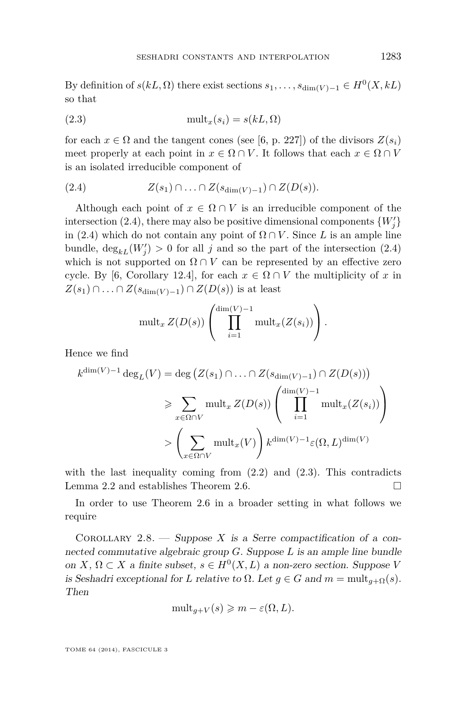<span id="page-15-0"></span>By definition of  $s(kL, \Omega)$  there exist sections  $s_1, \ldots, s_{\dim(V)-1} \in H^0(X, kL)$ so that

(2.3) mult*x*(*si*) = *s*(*kL,* Ω)

for each  $x \in \Omega$  and the tangent cones (see [\[6,](#page-20-0) p. 227]) of the divisors  $Z(s_i)$ meet properly at each point in  $x \in \Omega \cap V$ . It follows that each  $x \in \Omega \cap V$ is an isolated irreducible component of

$$
(2.4) \tZ(s_1) \cap \ldots \cap Z(s_{\dim(V)-1}) \cap Z(D(s)).
$$

Although each point of  $x \in \Omega \cap V$  is an irreducible component of the intersection (2.4), there may also be positive dimensional components  $\{W_j'\}$ in (2.4) which do not contain any point of  $\Omega \cap V$ . Since *L* is an ample line bundle,  $\deg_{k}(W_j) > 0$  for all *j* and so the part of the intersection (2.4) which is not supported on  $\Omega \cap V$  can be represented by an effective zero cycle. By [\[6,](#page-20-0) Corollary 12.4], for each  $x \in \Omega \cap V$  the multiplicity of x in *Z*( $s_1$ ) ∩ *.* . . ∩ *Z*( $s_{\dim(V)-1}$ ) ∩ *Z*(*D*(*s*)) is at least

$$
\operatorname{mult}_x Z(D(s))\left(\prod_{i=1}^{\dim(V)-1} \operatorname{mult}_x(Z(s_i))\right).
$$

Hence we find

$$
k^{\dim(V)-1} \deg_L(V) = \deg (Z(s_1) \cap \ldots \cap Z(s_{\dim(V)-1}) \cap Z(D(s)))
$$
  
\n
$$
\geqslant \sum_{x \in \Omega \cap V} \text{mult}_x Z(D(s)) \left( \prod_{i=1}^{\dim(V)-1} \text{mult}_x(Z(s_i)) \right)
$$
  
\n
$$
> \left( \sum_{x \in \Omega \cap V} \text{mult}_x(V) \right) k^{\dim(V)-1} \varepsilon(\Omega, L)^{\dim(V)}
$$

with the last inequality coming from  $(2.2)$  and  $(2.3)$ . This contradicts Lemma [2.2](#page-12-0) and establishes Theorem [2.6.](#page-13-0)

In order to use Theorem [2.6](#page-13-0) in a broader setting in what follows we require

COROLLARY 2.8. — Suppose X is a Serre compactification of a connected commutative algebraic group *G*. Suppose *L* is an ample line bundle on *X*,  $\Omega \subset X$  a finite subset,  $s \in H^0(X, L)$  a non-zero section. Suppose *V* is Seshadri exceptional for *L* relative to  $\Omega$ . Let  $g \in G$  and  $m = \text{mult}_{g+\Omega}(s)$ . Then

$$
\text{mult}_{g+V}(s) \geqslant m - \varepsilon(\Omega, L).
$$

TOME 64 (2014), FASCICULE 3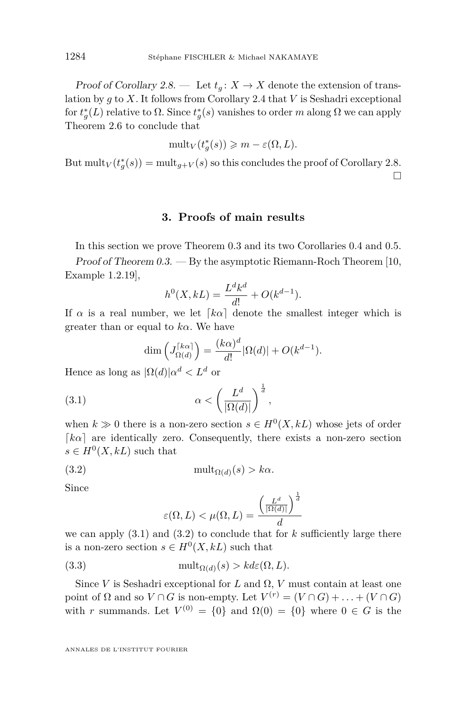<span id="page-16-0"></span>Proof of Corollary [2.8.](#page-15-0) — Let  $t_q: X \to X$  denote the extension of translation by *g* to *X*. It follows from Corollary [2.4](#page-13-0) that *V* is Seshadri exceptional for  $t_g^*(L)$  relative to  $\Omega$ . Since  $t_g^*(s)$  vanishes to order *m* along  $\Omega$  we can apply Theorem [2.6](#page-13-0) to conclude that

$$
\mathrm{mult}_{V}(t_{g}^{*}(s)) \geqslant m - \varepsilon(\Omega, L).
$$

But  $\text{mult}_V(t_g^*(s)) = \text{mult}_{g+V}(s)$  so this concludes the proof of Corollary [2.8.](#page-15-0)  $\Box$ 

#### **3. Proofs of main results**

In this section we prove Theorem [0.3](#page-3-0) and its two Corollaries [0.4](#page-4-0) and [0.5.](#page-4-0)

Proof of Theorem [0.3.](#page-3-0) — By the asymptotic Riemann-Roch Theorem [\[10,](#page-20-0) Example 1.2.19],

$$
h^{0}(X,kL) = \frac{L^{d}k^{d}}{d!} + O(k^{d-1}).
$$

If  $\alpha$  is a real number, we let  $\lceil k\alpha \rceil$  denote the smallest integer which is greater than or equal to *kα*. We have

$$
\dim\left(J_{\Omega(d)}^{\lceil k\alpha\rceil}\right) = \frac{(k\alpha)^d}{d!}|\Omega(d)| + O(k^{d-1}).
$$

Hence as long as  $|\Omega(d)|\alpha^d < L^d$  or

(3.1) 
$$
\alpha < \left(\frac{L^d}{|\Omega(d)|}\right)^{\frac{1}{d}},
$$

when  $k \gg 0$  there is a non-zero section  $s \in H^0(X, kL)$  whose jets of order  $\lceil k\alpha \rceil$  are identically zero. Consequently, there exists a non-zero section  $s \in H^0(X, kL)$  such that

(3.2) 
$$
\text{mult}_{\Omega(d)}(s) > k\alpha.
$$

Since

$$
\varepsilon(\Omega, L) < \mu(\Omega, L) = \frac{\left(\frac{L^d}{|\Omega(d)|}\right)^{\frac{1}{d}}}{d}
$$

we can apply  $(3.1)$  and  $(3.2)$  to conclude that for  $k$  sufficiently large there is a non-zero section  $s \in H^0(X, kL)$  such that

(3.3) 
$$
\text{mult}_{\Omega(d)}(s) > k d\varepsilon(\Omega, L).
$$

Since *V* is Seshadri exceptional for *L* and  $\Omega$ , *V* must contain at least one point of  $\Omega$  and so  $V \cap G$  is non-empty. Let  $V^{(r)} = (V \cap G) + \ldots + (V \cap G)$ with *r* summands. Let  $V^{(0)} = \{0\}$  and  $\Omega(0) = \{0\}$  where  $0 \in G$  is the

ANNALES DE L'INSTITUT FOURIER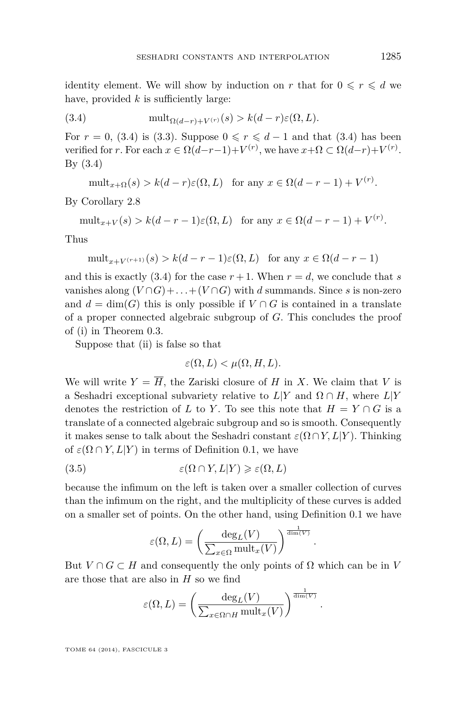<span id="page-17-0"></span>identity element. We will show by induction on *r* that for  $0 \le r \le d$  we have, provided *k* is sufficiently large:

(3.4) 
$$
\text{mult}_{\Omega(d-r)+V^{(r)}}(s) > k(d-r)\varepsilon(\Omega,L).
$$

For  $r = 0$ , (3.4) is [\(3.3\)](#page-16-0). Suppose  $0 \le r \le d - 1$  and that (3.4) has been verified for *r*. For each  $x \in \Omega(d-r-1)+V^{(r)}$ , we have  $x+\Omega \subset \Omega(d-r)+V^{(r)}$ . By (3.4)

$$
\text{mult}_{x+\Omega}(s) > k(d-r)\varepsilon(\Omega, L) \quad \text{for any } x \in \Omega(d-r-1) + V^{(r)}.
$$

By Corollary [2.8](#page-15-0)

 $\text{mult}_{x+V}(s) > k(d-r-1)\varepsilon(\Omega, L) \text{ for any } x \in \Omega(d-r-1) + V^{(r)}$ .

Thus

$$
\operatorname{mult}_{x+V^{(r+1)}}(s) > k(d-r-1)\varepsilon(\Omega, L) \quad \text{for any } x \in \Omega(d-r-1)
$$

and this is exactly  $(3.4)$  for the case  $r + 1$ . When  $r = d$ , we conclude that *s* vanishes along  $(V \cap G) + ... + (V \cap G)$  with *d* summands. Since *s* is non-zero and  $d = \dim(G)$  this is only possible if  $V \cap G$  is contained in a translate of a proper connected algebraic subgroup of *G*. This concludes the proof of (i) in Theorem [0.3.](#page-3-0)

Suppose that (ii) is false so that

$$
\varepsilon(\Omega, L) < \mu(\Omega, H, L).
$$

We will write  $Y = \overline{H}$ , the Zariski closure of *H* in *X*. We claim that *V* is a Seshadri exceptional subvariety relative to  $L|Y$  and  $\Omega \cap H$ , where  $L|Y$ denotes the restriction of *L* to *Y*. To see this note that  $H = Y \cap G$  is a translate of a connected algebraic subgroup and so is smooth. Consequently it makes sense to talk about the Seshadri constant  $\varepsilon(\Omega \cap Y, L|Y)$ . Thinking of  $\varepsilon(\Omega \cap Y, L|Y)$  in terms of Definition [0.1,](#page-2-0) we have

$$
(3.5) \qquad \qquad \varepsilon(\Omega \cap Y, L|Y) \geqslant \varepsilon(\Omega, L)
$$

because the infimum on the left is taken over a smaller collection of curves than the infimum on the right, and the multiplicity of these curves is added on a smaller set of points. On the other hand, using Definition [0.1](#page-2-0) we have

$$
\varepsilon(\Omega, L) = \left(\frac{\deg_L(V)}{\sum_{x \in \Omega} \text{mult}_x(V)}\right)^{\frac{1}{\dim(V)}}
$$

*.*

*.*

But  $V \cap G \subset H$  and consequently the only points of  $\Omega$  which can be in V are those that are also in *H* so we find

$$
\varepsilon(\Omega, L) = \left(\frac{\deg_L(V)}{\sum_{x \in \Omega \cap H} \text{mult}_x(V)}\right)^{\frac{1}{\dim(V)}}
$$

TOME 64 (2014), FASCICULE 3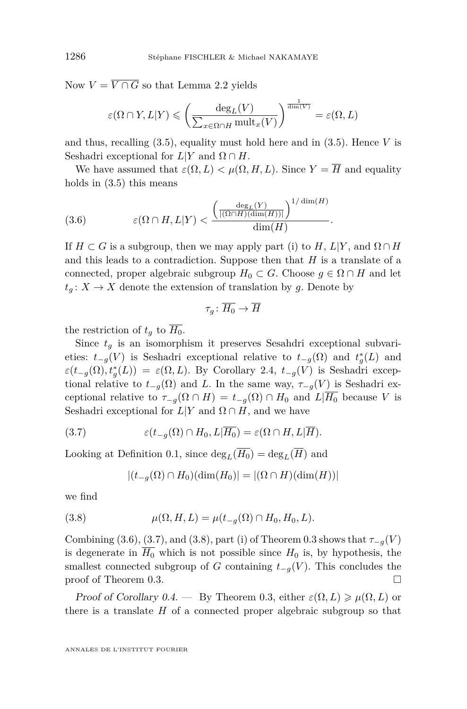Now  $V = \overline{V \cap G}$  so that Lemma [2.2](#page-12-0) yields

$$
\varepsilon(\Omega \cap Y, L|Y) \leqslant \left(\frac{\deg_L(V)}{\sum_{x \in \Omega \cap H} \text{mult}_x(V)}\right)^{\frac{1}{\dim(V)}} = \varepsilon(\Omega, L)
$$

and thus, recalling [\(3.5\)](#page-17-0), equality must hold here and in [\(3.5\)](#page-17-0). Hence *V* is Seshadri exceptional for  $L|Y$  and  $\Omega \cap H$ .

We have assumed that  $\varepsilon(\Omega, L) < \mu(\Omega, H, L)$ . Since  $Y = \overline{H}$  and equality holds in  $(3.5)$  this means

(3.6) 
$$
\varepsilon(\Omega \cap H, L|Y) < \frac{\left(\frac{\deg_L(Y)}{|(\Omega \cap H)(\dim(H))|}\right)^{1/\dim(H)}}{\dim(H)}.
$$

If  $H \subset G$  is a subgroup, then we may apply part (i) to  $H, L|Y$ , and  $\Omega \cap H$ and this leads to a contradiction. Suppose then that *H* is a translate of a connected, proper algebraic subgroup  $H_0 \subset G$ . Choose  $g \in \Omega \cap H$  and let  $t_q: X \to X$  denote the extension of translation by *g*. Denote by

$$
\tau_g\colon \overline{H_0}\to \overline{H}
$$

the restriction of  $t_q$  to  $\overline{H_0}$ .

Since  $t_q$  is an isomorphism it preserves Sesahdri exceptional subvarieties:  $t_{-g}(V)$  is Seshadri exceptional relative to  $t_{-g}(\Omega)$  and  $t_g^*(L)$  and  $\varepsilon(t_{-g}(\Omega), t_g^*(L)) = \varepsilon(\Omega, L)$ . By Corollary [2.4,](#page-13-0)  $t_{-g}(V)$  is Seshadri exceptional relative to  $t_{-g}(\Omega)$  and *L*. In the same way,  $\tau_{-g}(V)$  is Seshadri exceptional relative to  $\tau_{-q}(\Omega \cap H) = t_{-q}(\Omega) \cap H_0$  and  $L|\overline{H_0}$  because *V* is Seshadri exceptional for  $L|Y$  and  $\Omega \cap H$ , and we have

(3.7) 
$$
\varepsilon(t_{-g}(\Omega) \cap H_0, L|\overline{H_0}) = \varepsilon(\Omega \cap H, L|\overline{H}).
$$

Looking at Definition [0.1,](#page-2-0) since  $\deg_L(\overline{H_0}) = \deg_L(\overline{H})$  and

$$
|(t_{-g}(\Omega) \cap H_0)(\dim(H_0)| = |(\Omega \cap H)(\dim(H))|
$$

we find

(3.8) 
$$
\mu(\Omega, H, L) = \mu(t_{-g}(\Omega) \cap H_0, H_0, L).
$$

Combining (3.6), (3.7), and (3.8), part (i) of Theorem [0.3](#page-3-0) shows that  $\tau_{-q}(V)$ is degenerate in  $\overline{H_0}$  which is not possible since  $H_0$  is, by hypothesis, the smallest connected subgroup of *G* containing  $t_{-g}(V)$ . This concludes the proof of Theorem [0.3.](#page-3-0)

Proof of Corollary [0.4.](#page-4-0) — By Theorem [0.3,](#page-3-0) either  $\varepsilon(\Omega, L) \geq \mu(\Omega, L)$  or there is a translate *H* of a connected proper algebraic subgroup so that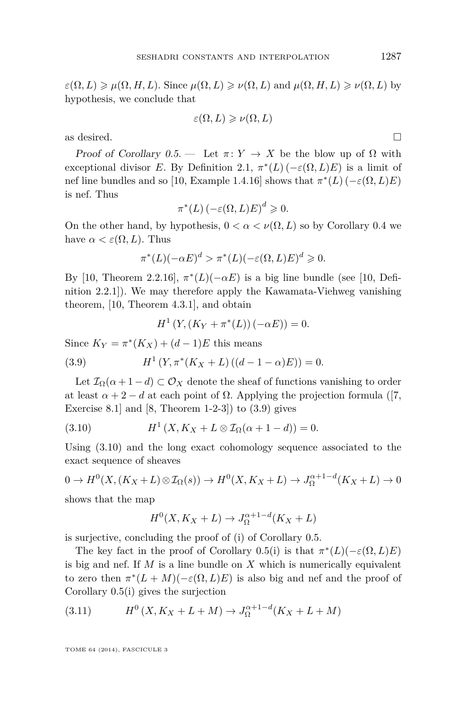<span id="page-19-0"></span> $\varepsilon(\Omega, L) \geq \mu(\Omega, H, L)$ . Since  $\mu(\Omega, L) \geq \nu(\Omega, L)$  and  $\mu(\Omega, H, L) \geq \nu(\Omega, L)$  by hypothesis, we conclude that

$$
\varepsilon(\Omega, L) \geqslant \nu(\Omega, L)
$$

as desired.  $\Box$ 

Proof of Corollary  $0.5$  — Let  $\pi: Y \to X$  be the blow up of  $\Omega$  with exceptional divisor *E*. By Definition [2.1,](#page-12-0)  $\pi^*(L)$  ( $-\varepsilon(\Omega, L)E$ ) is a limit of nef line bundles and so [\[10,](#page-20-0) Example 1.4.16] shows that  $\pi^*(L)$  ( $-\varepsilon(\Omega, L)E$ ) is nef. Thus

$$
\pi^*(L) \left(-\varepsilon(\Omega, L)E\right)^d \geq 0.
$$

On the other hand, by hypothesis,  $0 < \alpha < \nu(\Omega, L)$  so by Corollary [0.4](#page-4-0) we have  $\alpha < \varepsilon(\Omega, L)$ . Thus

$$
\pi^*(L)(-\alpha E)^d > \pi^*(L)(-\varepsilon(\Omega, L)E)^d \geq 0.
$$

By [\[10,](#page-20-0) Theorem 2.2.16],  $\pi^*(L)(-\alpha E)$  is a big line bundle (see [10, Definition 2.2.1]). We may therefore apply the Kawamata-Viehweg vanishing theorem, [\[10,](#page-20-0) Theorem 4.3.1], and obtain

$$
H^{1}(Y,(K_{Y} + \pi^{*}(L))(-\alpha E)) = 0.
$$

Since  $K_Y = \pi^*(K_X) + (d-1)E$  this means

 $(3.9)$  $(Y, \pi^*(K_X + L)((d - 1 - \alpha)E)) = 0.$ 

Let  $\mathcal{I}_{\Omega}(\alpha+1-d) \subset \mathcal{O}_X$  denote the sheaf of functions vanishing to order at least  $\alpha + 2 - d$  at each point of  $\Omega$ . Applying the projection formula ([\[7,](#page-20-0) Exercise 8.1 and  $[8,$  Theorem 1-2-3 $]$  to  $(3.9)$  gives

(3.10) 
$$
H^{1}(X, K_X + L \otimes I_{\Omega}(\alpha + 1 - d)) = 0.
$$

Using (3.10) and the long exact cohomology sequence associated to the exact sequence of sheaves

$$
0 \to H^0(X, (K_X + L) \otimes \mathcal{I}_{\Omega}(s)) \to H^0(X, K_X + L) \to J_{\Omega}^{\alpha+1-d}(K_X + L) \to 0
$$

shows that the map

$$
H^0(X, K_X + L) \to J_{\Omega}^{\alpha+1-d}(K_X + L)
$$

is surjective, concluding the proof of (i) of Corollary [0.5.](#page-4-0)

The key fact in the proof of Corollary [0.5\(](#page-4-0)i) is that  $\pi^*(L)(-\varepsilon(\Omega,L)E)$ is big and nef. If *M* is a line bundle on *X* which is numerically equivalent to zero then  $\pi^*(L+M)(-\varepsilon(\Omega,L)E)$  is also big and nef and the proof of Corollary [0.5\(](#page-4-0)i) gives the surjection

(3.11) 
$$
H^{0}(X, K_X + L + M) \to J_{\Omega}^{\alpha+1-d}(K_X + L + M)
$$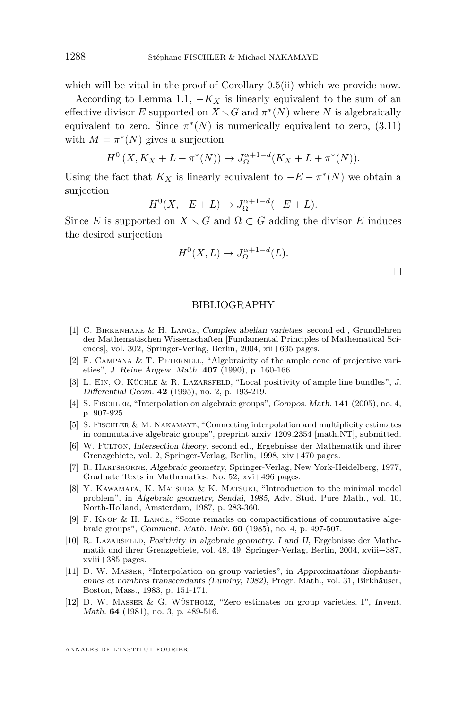<span id="page-20-0"></span>which will be vital in the proof of Corollary [0.5\(](#page-4-0)ii) which we provide now.

According to Lemma [1.1,](#page-7-0)  $-K_X$  is linearly equivalent to the sum of an effective divisor *E* supported on  $X \setminus G$  and  $\pi^*(N)$  where *N* is algebraically equivalent to zero. Since  $\pi^*(N)$  is numerically equivalent to zero,  $(3.11)$ with  $M = \pi^*(N)$  gives a surjection

$$
H^{0}(X, K_X + L + \pi^{*}(N)) \to J_{\Omega}^{\alpha+1-d}(K_X + L + \pi^{*}(N)).
$$

Using the fact that  $K_X$  is linearly equivalent to  $-E - \pi^*(N)$  we obtain a surjection

$$
H^0(X, -E+L) \to J_{\Omega}^{\alpha+1-d}(-E+L).
$$

Since *E* is supported on  $X \setminus G$  and  $\Omega \subset G$  adding the divisor *E* induces the desired surjection

$$
H^0(X, L) \to J_{\Omega}^{\alpha+1-d}(L).
$$

 $\Box$ 

#### BIBLIOGRAPHY

- [1] C. Birkenhake & H. Lange, Complex abelian varieties, second ed., Grundlehren der Mathematischen Wissenschaften [Fundamental Principles of Mathematical Sciences], vol. 302, Springer-Verlag, Berlin, 2004, xii+635 pages.
- [2] F. CAMPANA  $&$  T. PETERNELL, "Algebraicity of the ample cone of projective varieties", J. Reine Angew. Math. **407** (1990), p. 160-166.
- [3] L. Ein, O. Küchle & R. Lazarsfeld, "Local positivity of ample line bundles", J. Differential Geom. **42** (1995), no. 2, p. 193-219.
- [4] S. Fischler, "Interpolation on algebraic groups", Compos. Math. **141** (2005), no. 4, p. 907-925.
- [5] S. Fischler & M. Nakamaye, "Connecting interpolation and multiplicity estimates in commutative algebraic groups", preprint arxiv 1209.2354 [math.NT], submitted.
- [6] W. Fulton, Intersection theory, second ed., Ergebnisse der Mathematik und ihrer Grenzgebiete, vol. 2, Springer-Verlag, Berlin, 1998, xiv+470 pages.
- [7] R. Hartshorne, Algebraic geometry, Springer-Verlag, New York-Heidelberg, 1977, Graduate Texts in Mathematics, No. 52, xvi+496 pages.
- [8] Y. KAWAMATA, K. MATSUDA & K. MATSUKI, "Introduction to the minimal model problem", in Algebraic geometry, Sendai, 1985, Adv. Stud. Pure Math., vol. 10, North-Holland, Amsterdam, 1987, p. 283-360.
- [9] F. Knop & H. Lange, "Some remarks on compactifications of commutative algebraic groups", Comment. Math. Helv. **60** (1985), no. 4, p. 497-507.
- [10] R. Lazarsfeld, Positivity in algebraic geometry. I and II, Ergebnisse der Mathematik und ihrer Grenzgebiete, vol. 48, 49, Springer-Verlag, Berlin, 2004, xviii+387, xviii+385 pages.
- [11] D. W. Masser, "Interpolation on group varieties", in Approximations diophantiennes et nombres transcendants (Luminy, 1982), Progr. Math., vol. 31, Birkhäuser, Boston, Mass., 1983, p. 151-171.
- [12] D. W. Masser & G. Wüstholz, "Zero estimates on group varieties. I", Invent. Math. **64** (1981), no. 3, p. 489-516.